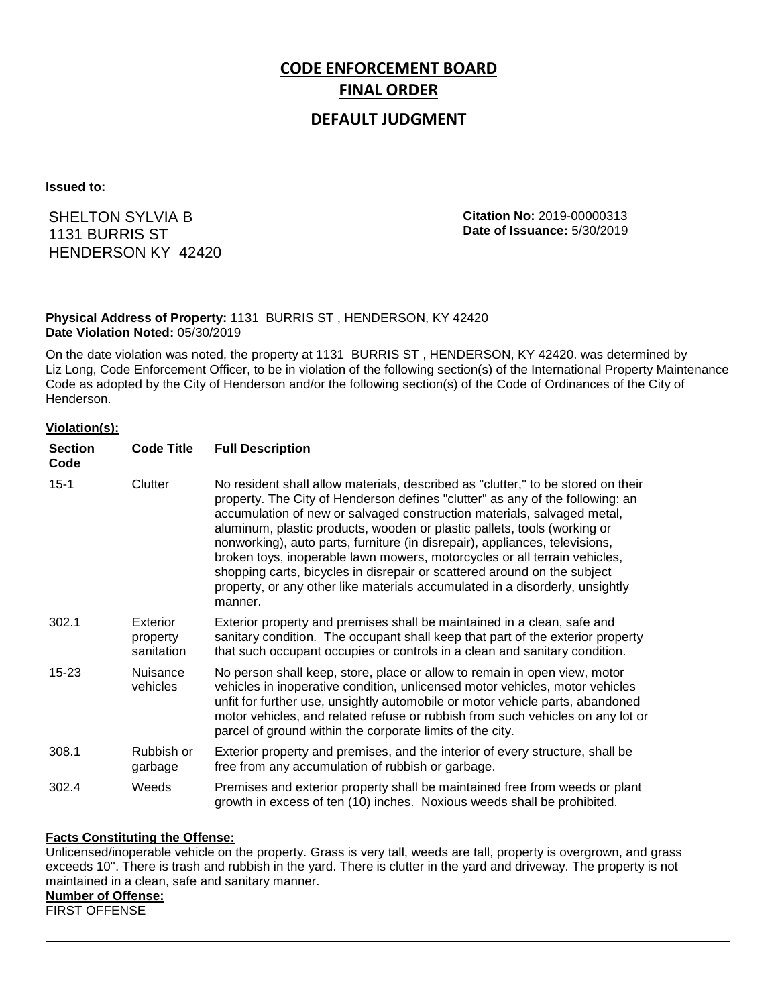# **CODE ENFORCEMENT BOARD FINAL ORDER**

# **DEFAULT JUDGMENT**

**Issued to:**

SHELTON SYLVIA B 1131 BURRIS ST HENDERSON KY 42420 **Citation No:** 2019-00000313 **Date of Issuance:** 5/30/2019

## **Physical Address of Property:** 1131 BURRIS ST , HENDERSON, KY 42420 **Date Violation Noted:** 05/30/2019

On the date violation was noted, the property at 1131 BURRIS ST , HENDERSON, KY 42420. was determined by Liz Long, Code Enforcement Officer, to be in violation of the following section(s) of the International Property Maintenance Code as adopted by the City of Henderson and/or the following section(s) of the Code of Ordinances of the City of Henderson.

#### **Violation(s):**

| <b>Section</b><br>Code | <b>Code Title</b>                  | <b>Full Description</b>                                                                                                                                                                                                                                                                                                                                                                                                                                                                                                                                                                                                                                     |
|------------------------|------------------------------------|-------------------------------------------------------------------------------------------------------------------------------------------------------------------------------------------------------------------------------------------------------------------------------------------------------------------------------------------------------------------------------------------------------------------------------------------------------------------------------------------------------------------------------------------------------------------------------------------------------------------------------------------------------------|
| $15 - 1$               | Clutter                            | No resident shall allow materials, described as "clutter," to be stored on their<br>property. The City of Henderson defines "clutter" as any of the following: an<br>accumulation of new or salvaged construction materials, salvaged metal,<br>aluminum, plastic products, wooden or plastic pallets, tools (working or<br>nonworking), auto parts, furniture (in disrepair), appliances, televisions,<br>broken toys, inoperable lawn mowers, motorcycles or all terrain vehicles,<br>shopping carts, bicycles in disrepair or scattered around on the subject<br>property, or any other like materials accumulated in a disorderly, unsightly<br>manner. |
| 302.1                  | Exterior<br>property<br>sanitation | Exterior property and premises shall be maintained in a clean, safe and<br>sanitary condition. The occupant shall keep that part of the exterior property<br>that such occupant occupies or controls in a clean and sanitary condition.                                                                                                                                                                                                                                                                                                                                                                                                                     |
| 15-23                  | <b>Nuisance</b><br>vehicles        | No person shall keep, store, place or allow to remain in open view, motor<br>vehicles in inoperative condition, unlicensed motor vehicles, motor vehicles<br>unfit for further use, unsightly automobile or motor vehicle parts, abandoned<br>motor vehicles, and related refuse or rubbish from such vehicles on any lot or<br>parcel of ground within the corporate limits of the city.                                                                                                                                                                                                                                                                   |
| 308.1                  | Rubbish or<br>garbage              | Exterior property and premises, and the interior of every structure, shall be<br>free from any accumulation of rubbish or garbage.                                                                                                                                                                                                                                                                                                                                                                                                                                                                                                                          |
| 302.4                  | Weeds                              | Premises and exterior property shall be maintained free from weeds or plant<br>growth in excess of ten (10) inches. Noxious weeds shall be prohibited.                                                                                                                                                                                                                                                                                                                                                                                                                                                                                                      |

#### **Facts Constituting the Offense:**

Unlicensed/inoperable vehicle on the property. Grass is very tall, weeds are tall, property is overgrown, and grass exceeds 10''. There is trash and rubbish in the yard. There is clutter in the yard and driveway. The property is not maintained in a clean, safe and sanitary manner.

### **Number of Offense:**

FIRST OFFENSE